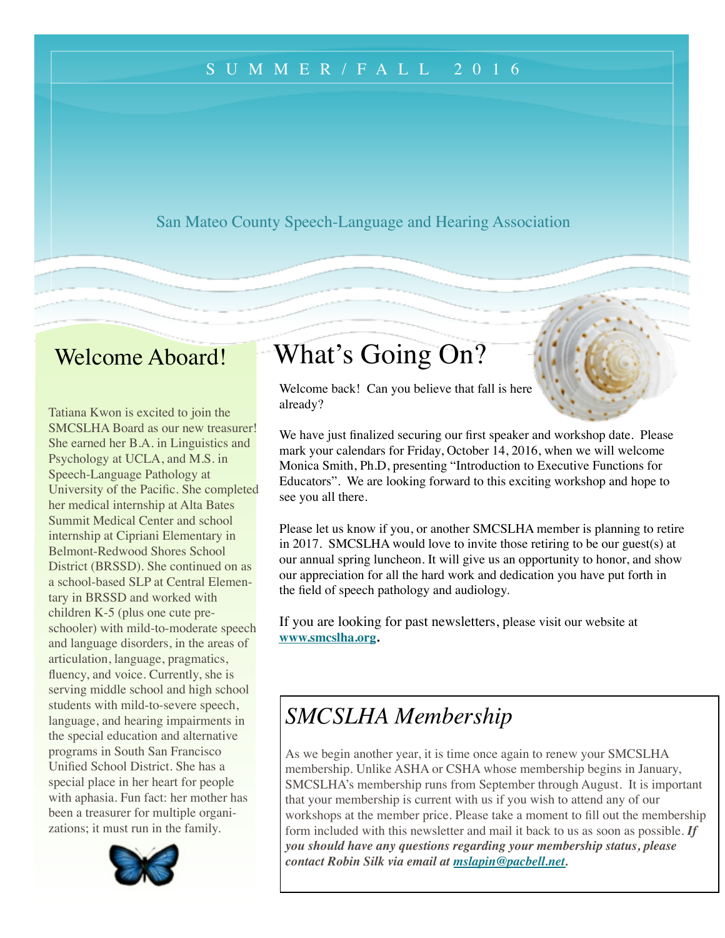## SUMMER/FALL 201 6

San Mateo County Speech-Language and Hearing Association

# Welcome Aboard!

Tatiana Kwon is excited to join the SMCSLHA Board as our new treasurer! She earned her B.A. in Linguistics and Psychology at UCLA, and M.S. in Speech-Language Pathology at University of the Pacific. She completed her medical internship at Alta Bates Summit Medical Center and school internship at Cipriani Elementary in Belmont-Redwood Shores School District (BRSSD). She continued on as a school-based SLP at Central Elementary in BRSSD and worked with children K-5 (plus one cute preschooler) with mild-to-moderate speech and language disorders, in the areas of articulation, language, pragmatics, fluency, and voice. Currently, she is serving middle school and high school students with mild-to-severe speech, language, and hearing impairments in the special education and alternative programs in South San Francisco Unified School District. She has a special place in her heart for people with aphasia. Fun fact: her mother has been a treasurer for multiple organizations; it must run in the family.



# What's Going On?

Welcome back! Can you believe that fall is here already?

We have just finalized securing our first speaker and workshop date. Please mark your calendars for Friday, October 14, 2016, when we will welcome Monica Smith, Ph.D, presenting "Introduction to Executive Functions for Educators". We are looking forward to this exciting workshop and hope to see you all there.

Please let us know if you, or another SMCSLHA member is planning to retire in 2017. SMCSLHA would love to invite those retiring to be our guest(s) at our annual spring luncheon. It will give us an opportunity to honor, and show our appreciation for all the hard work and dedication you have put forth in the field of speech pathology and audiology.

If you are looking for past newsletters, please visit our website at **[www.smcslha.org](http://www.smcslha.org).**

# *SMCSLHA Membership*

As we begin another year, it is time once again to renew your SMCSLHA membership. Unlike ASHA or CSHA whose membership begins in January, SMCSLHA's membership runs from September through August. It is important that your membership is current with us if you wish to attend any of our workshops at the member price. Please take a moment to fill out the membership form included with this newsletter and mail it back to us as soon as possible. *If you should have any questions regarding your membership status, please contact Robin Silk via email at [mslapin@pacbell.net.](mailto:mslapin@pacbell.net)*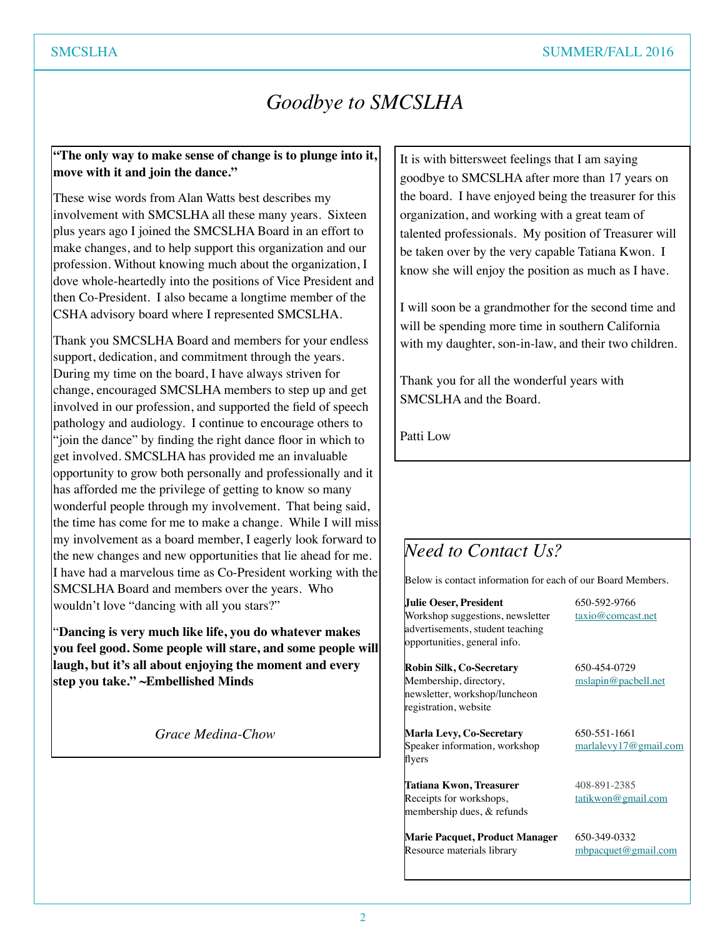# *Goodbye to SMCSLHA*

### **"The only way to make sense of change is to plunge into it, move with it and join the dance."**

These wise words from Alan Watts best describes my involvement with SMCSLHA all these many years. Sixteen plus years ago I joined the SMCSLHA Board in an effort to make changes, and to help support this organization and our profession. Without knowing much about the organization, I dove whole-heartedly into the positions of Vice President and then Co-President. I also became a longtime member of the CSHA advisory board where I represented SMCSLHA.

Thank you SMCSLHA Board and members for your endless support, dedication, and commitment through the years. During my time on the board, I have always striven for change, encouraged SMCSLHA members to step up and get involved in our profession, and supported the field of speech pathology and audiology. I continue to encourage others to "join the dance" by finding the right dance floor in which to get involved. SMCSLHA has provided me an invaluable opportunity to grow both personally and professionally and it has afforded me the privilege of getting to know so many wonderful people through my involvement. That being said, the time has come for me to make a change. While I will miss my involvement as a board member, I eagerly look forward to the new changes and new opportunities that lie ahead for me. I have had a marvelous time as Co-President working with the SMCSLHA Board and members over the years. Who wouldn't love "dancing with all you stars?"

"**Dancing is very much like life, you do whatever makes you feel good. Some people will stare, and some people will laugh, but it's all about enjoying the moment and every step you take." ~Embellished Minds**

*Grace Medina-Chow*

It is with bittersweet feelings that I am saying goodbye to SMCSLHA after more than 17 years on the board. I have enjoyed being the treasurer for this organization, and working with a great team of talented professionals. My position of Treasurer will be taken over by the very capable Tatiana Kwon. I know she will enjoy the position as much as I have.

I will soon be a grandmother for the second time and will be spending more time in southern California with my daughter, son-in-law, and their two children.

Thank you for all the wonderful years with SMCSLHA and the Board.

Patti Low

# *Need to Contact Us?*

Below is contact information for each of our Board Members.

**Julie Oeser, President** 650-592-9766 Workshop suggestions, newsletter  $\qquad \arctan(\omega \cos \theta)$  taxio $\omega$  comcast.net advertisements, student teaching opportunities, general info.

**Robin Silk, Co-Secretary** 650-454-0729 Membership, directory, [mslapin@pacbell.net](mailto:mslapin@pacbell.net) newsletter, workshop/luncheon registration, website

**Marla Levy, Co-Secretary** 650-551-1661 Speaker information, workshop [marlalevy17@gmail.com](mailto:marlalevy17@gmail.com) flyers

Tatiana Kwon, Treasurer 408-891-2385 Receipts for workshops, [tatikwon@gmail.com](mailto:tatikwon@gmail.com) membership dues, & refunds

**Marie Pacquet, Product Manager** 650-349-0332 Resource materials library [mbpacquet@gmail.com](mailto:mbpacquet@gmail.com)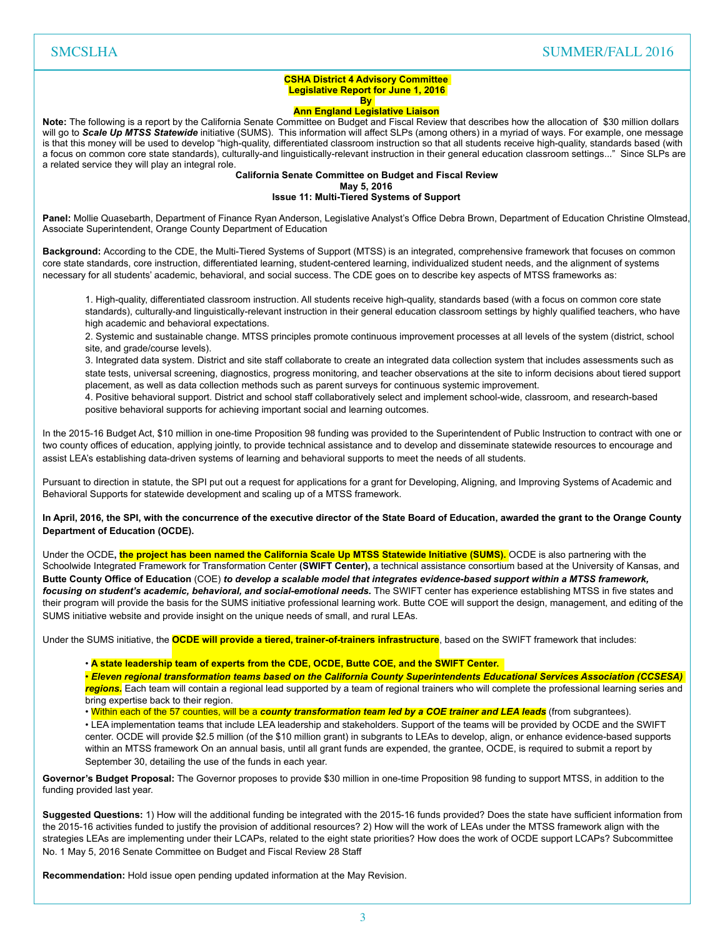### SMCSLHA SUMMER/FALL 2016

#### **CSHA District 4 Advisory Committee Legislative Report for June 1, 2016 By**

#### **Ann England Legislative Liaison**

**Note:** The following is a report by the California Senate Committee on Budget and Fiscal Review that describes how the allocation of \$30 million dollars will go to Scale Up MTSS Statewide initiative (SUMS). This information will affect SLPs (among others) in a myriad of ways. For example, one message is that this money will be used to develop "high-quality, differentiated classroom instruction so that all students receive high-quality, standards based (with a focus on common core state standards), culturally-and linguistically-relevant instruction in their general education classroom settings..." Since SLPs are a related service they will play an integral role.

**California Senate Committee on Budget and Fiscal Review** 

**May 5, 2016** 

#### **Issue 11: Multi-Tiered Systems of Support**

Panel: Mollie Quasebarth, Department of Finance Ryan Anderson, Legislative Analyst's Office Debra Brown, Department of Education Christine Olmstead, Associate Superintendent, Orange County Department of Education

**Background:** According to the CDE, the Multi-Tiered Systems of Support (MTSS) is an integrated, comprehensive framework that focuses on common core state standards, core instruction, differentiated learning, student-centered learning, individualized student needs, and the alignment of systems necessary for all students' academic, behavioral, and social success. The CDE goes on to describe key aspects of MTSS frameworks as:

1. High-quality, differentiated classroom instruction. All students receive high-quality, standards based (with a focus on common core state standards), culturally-and linguistically-relevant instruction in their general education classroom settings by highly qualified teachers, who have high academic and behavioral expectations.

2. Systemic and sustainable change. MTSS principles promote continuous improvement processes at all levels of the system (district, school site, and grade/course levels).

3. Integrated data system. District and site staff collaborate to create an integrated data collection system that includes assessments such as state tests, universal screening, diagnostics, progress monitoring, and teacher observations at the site to inform decisions about tiered support placement, as well as data collection methods such as parent surveys for continuous systemic improvement.

4. Positive behavioral support. District and school staff collaboratively select and implement school-wide, classroom, and research-based positive behavioral supports for achieving important social and learning outcomes.

In the 2015-16 Budget Act, \$10 million in one-time Proposition 98 funding was provided to the Superintendent of Public Instruction to contract with one or two county offices of education, applying jointly, to provide technical assistance and to develop and disseminate statewide resources to encourage and assist LEA's establishing data-driven systems of learning and behavioral supports to meet the needs of all students.

Pursuant to direction in statute, the SPI put out a request for applications for a grant for Developing, Aligning, and Improving Systems of Academic and Behavioral Supports for statewide development and scaling up of a MTSS framework.

**In April, 2016, the SPI, with the concurrence of the executive director of the State Board of Education, awarded the grant to the Orange County Department of Education (OCDE).** 

Under the OCDE**, the project has been named the California Scale Up MTSS Statewide Initiative (SUMS).** OCDE is also partnering with the Schoolwide Integrated Framework for Transformation Center **(SWIFT Center),** a technical assistance consortium based at the University of Kansas, and **Butte County Office of Education** (COE) *to develop a scalable model that integrates evidence-based support within a MTSS framework,*  focusing on student's academic, behavioral, and social-emotional needs. The SWIFT center has experience establishing MTSS in five states and their program will provide the basis for the SUMS initiative professional learning work. Butte COE will support the design, management, and editing of the SUMS initiative website and provide insight on the unique needs of small, and rural LEAs.

Under the SUMS initiative, the **OCDE will provide a tiered, trainer-of-trainers infrastructure**, based on the SWIFT framework that includes:

#### • **A state leadership team of experts from the CDE, OCDE, Butte COE, and the SWIFT Center.**

• *Eleven regional transformation teams based on the California County Superintendents Educational Services Association (CCSESA) regions.* Each team will contain a regional lead supported by a team of regional trainers who will complete the professional learning series and bring expertise back to their region.

• Within each of the 57 counties, will be a *county transformation team led by a COE trainer and LEA leads* (from subgrantees).

• LEA implementation teams that include LEA leadership and stakeholders. Support of the teams will be provided by OCDE and the SWIFT center. OCDE will provide \$2.5 million (of the \$10 million grant) in subgrants to LEAs to develop, align, or enhance evidence-based supports within an MTSS framework On an annual basis, until all grant funds are expended, the grantee, OCDE, is required to submit a report by September 30, detailing the use of the funds in each year.

**Governor's Budget Proposal:** The Governor proposes to provide \$30 million in one-time Proposition 98 funding to support MTSS, in addition to the funding provided last year.

**Suggested Questions:** 1) How will the additional funding be integrated with the 2015-16 funds provided? Does the state have sufficient information from the 2015-16 activities funded to justify the provision of additional resources? 2) How will the work of LEAs under the MTSS framework align with the strategies LEAs are implementing under their LCAPs, related to the eight state priorities? How does the work of OCDE support LCAPs? Subcommittee No. 1 May 5, 2016 Senate Committee on Budget and Fiscal Review 28 Staff

**Recommendation:** Hold issue open pending updated information at the May Revision.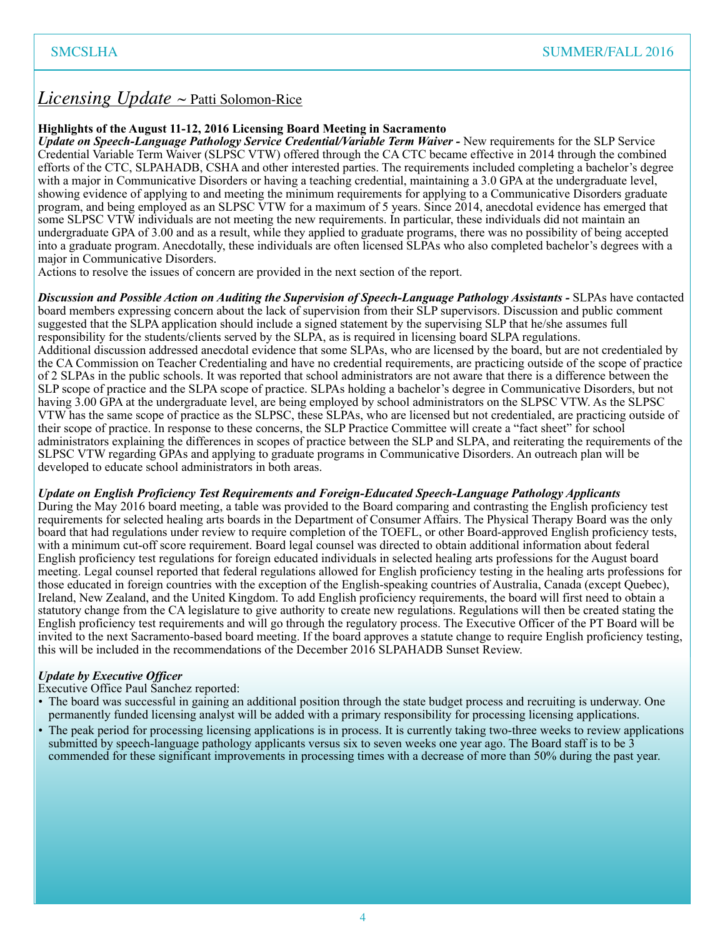## *Licensing Update* ~ Patti Solomon-Rice

#### **Highlights of the August 11-12, 2016 Licensing Board Meeting in Sacramento**

*Update on Speech-Language Pathology Service Credential/Variable Term Waiver - New requirements for the SLP Service* Credential Variable Term Waiver (SLPSC VTW) offered through the CA CTC became effective in 2014 through the combined efforts of the CTC, SLPAHADB, CSHA and other interested parties. The requirements included completing a bachelor's degree with a major in Communicative Disorders or having a teaching credential, maintaining a 3.0 GPA at the undergraduate level, showing evidence of applying to and meeting the minimum requirements for applying to a Communicative Disorders graduate program, and being employed as an SLPSC VTW for a maximum of 5 years. Since 2014, anecdotal evidence has emerged that some SLPSC VTW individuals are not meeting the new requirements. In particular, these individuals did not maintain an undergraduate GPA of 3.00 and as a result, while they applied to graduate programs, there was no possibility of being accepted into a graduate program. Anecdotally, these individuals are often licensed SLPAs who also completed bachelor's degrees with a major in Communicative Disorders.

Actions to resolve the issues of concern are provided in the next section of the report.

*Discussion and Possible Action on Auditing the Supervision of Speech-Language Pathology Assistants -* SLPAs have contacted board members expressing concern about the lack of supervision from their SLP supervisors. Discussion and public comment suggested that the SLPA application should include a signed statement by the supervising SLP that he/she assumes full responsibility for the students/clients served by the SLPA, as is required in licensing board SLPA regulations. Additional discussion addressed anecdotal evidence that some SLPAs, who are licensed by the board, but are not credentialed by the CA Commission on Teacher Credentialing and have no credential requirements, are practicing outside of the scope of practice of 2 SLPAs in the public schools. It was reported that school administrators are not aware that there is a difference between the SLP scope of practice and the SLPA scope of practice. SLPAs holding a bachelor's degree in Communicative Disorders, but not having 3.00 GPA at the undergraduate level, are being employed by school administrators on the SLPSC VTW. As the SLPSC VTW has the same scope of practice as the SLPSC, these SLPAs, who are licensed but not credentialed, are practicing outside of their scope of practice. In response to these concerns, the SLP Practice Committee will create a "fact sheet" for school administrators explaining the differences in scopes of practice between the SLP and SLPA, and reiterating the requirements of the SLPSC VTW regarding GPAs and applying to graduate programs in Communicative Disorders. An outreach plan will be developed to educate school administrators in both areas.

#### *Update on English Proficiency Test Requirements and Foreign-Educated Speech-Language Pathology Applicants*

During the May 2016 board meeting, a table was provided to the Board comparing and contrasting the English proficiency test requirements for selected healing arts boards in the Department of Consumer Affairs. The Physical Therapy Board was the only board that had regulations under review to require completion of the TOEFL, or other Board-approved English proficiency tests, with a minimum cut-off score requirement. Board legal counsel was directed to obtain additional information about federal English proficiency test regulations for foreign educated individuals in selected healing arts professions for the August board meeting. Legal counsel reported that federal regulations allowed for English proficiency testing in the healing arts professions for those educated in foreign countries with the exception of the English-speaking countries of Australia, Canada (except Quebec), Ireland, New Zealand, and the United Kingdom. To add English proficiency requirements, the board will first need to obtain a statutory change from the CA legislature to give authority to create new regulations. Regulations will then be created stating the English proficiency test requirements and will go through the regulatory process. The Executive Officer of the PT Board will be invited to the next Sacramento-based board meeting. If the board approves a statute change to require English proficiency testing, this will be included in the recommendations of the December 2016 SLPAHADB Sunset Review.

### *Update by Executive Officer*

Executive Office Paul Sanchez reported:

- The board was successful in gaining an additional position through the state budget process and recruiting is underway. One permanently funded licensing analyst will be added with a primary responsibility for processing licensing applications.
- The peak period for processing licensing applications is in process. It is currently taking two-three weeks to review applications submitted by speech-language pathology applicants versus six to seven weeks one year ago. The Board staff is to be 3 commended for these significant improvements in processing times with a decrease of more than 50% during the past year.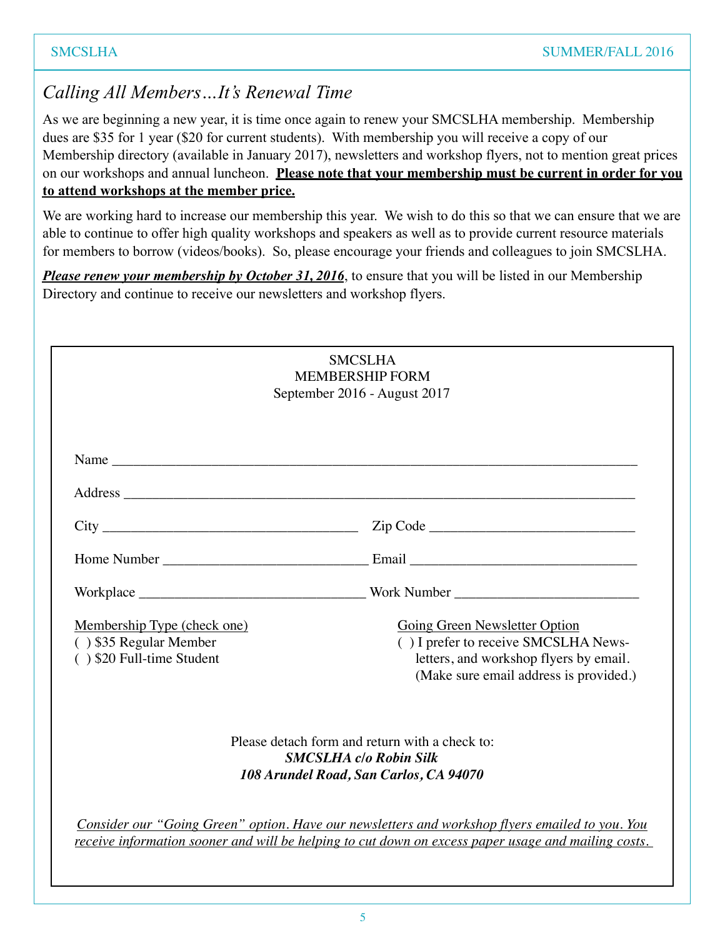# *Calling All Members…It's Renewal Time*

As we are beginning a new year, it is time once again to renew your SMCSLHA membership. Membership dues are \$35 for 1 year (\$20 for current students). With membership you will receive a copy of our Membership directory (available in January 2017), newsletters and workshop flyers, not to mention great prices on our workshops and annual luncheon. **Please note that your membership must be current in order for you to attend workshops at the member price.**

We are working hard to increase our membership this year. We wish to do this so that we can ensure that we are able to continue to offer high quality workshops and speakers as well as to provide current resource materials for members to borrow (videos/books). So, please encourage your friends and colleagues to join SMCSLHA.

*Please renew your membership by October 31, 2016*, to ensure that you will be listed in our Membership Directory and continue to receive our newsletters and workshop flyers.

|                                                                                    | <b>SMCSLHA</b><br><b>MEMBERSHIP FORM</b><br>September 2016 - August 2017                                                                                                                               |
|------------------------------------------------------------------------------------|--------------------------------------------------------------------------------------------------------------------------------------------------------------------------------------------------------|
| Name                                                                               |                                                                                                                                                                                                        |
|                                                                                    |                                                                                                                                                                                                        |
|                                                                                    |                                                                                                                                                                                                        |
|                                                                                    |                                                                                                                                                                                                        |
|                                                                                    |                                                                                                                                                                                                        |
| Membership Type (check one)<br>() \$35 Regular Member<br>() \$20 Full-time Student | <b>Going Green Newsletter Option</b><br>() I prefer to receive SMCSLHA News-<br>letters, and workshop flyers by email.<br>(Make sure email address is provided.)                                       |
|                                                                                    | Please detach form and return with a check to:<br><b>SMCSLHA</b> c/o Robin Silk<br>108 Arundel Road, San Carlos, CA 94070                                                                              |
|                                                                                    | Consider our "Going Green" option. Have our newsletters and workshop flyers emailed to you. You<br>receive information sooner and will be helping to cut down on excess paper usage and mailing costs. |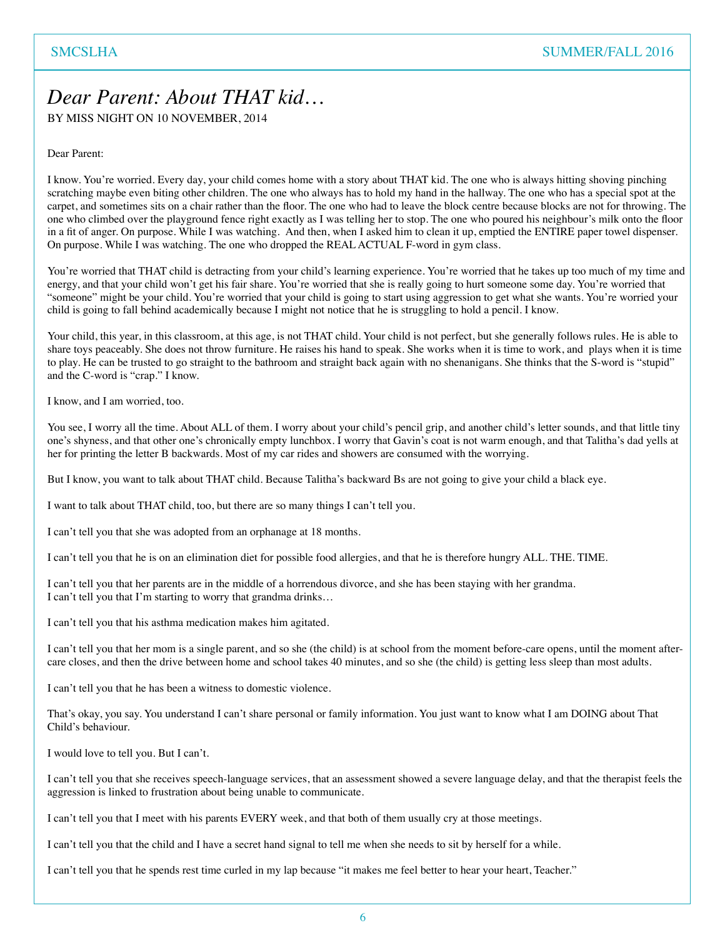# *Dear Parent: About THAT kid…*

BY MISS NIGHT ON 10 NOVEMBER, 2014

Dear Parent:

I know. You're worried. Every day, your child comes home with a story about THAT kid. The one who is always hitting shoving pinching scratching maybe even biting other children. The one who always has to hold my hand in the hallway. The one who has a special spot at the carpet, and sometimes sits on a chair rather than the floor. The one who had to leave the block centre because blocks are not for throwing. The one who climbed over the playground fence right exactly as I was telling her to stop. The one who poured his neighbour's milk onto the floor in a fit of anger. On purpose. While I was watching. And then, when I asked him to clean it up, emptied the ENTIRE paper towel dispenser. On purpose. While I was watching. The one who dropped the REAL ACTUAL F-word in gym class.

You're worried that THAT child is detracting from your child's learning experience. You're worried that he takes up too much of my time and energy, and that your child won't get his fair share. You're worried that she is really going to hurt someone some day. You're worried that "someone" might be your child. You're worried that your child is going to start using aggression to get what she wants. You're worried your child is going to fall behind academically because I might not notice that he is struggling to hold a pencil. I know.

Your child, this year, in this classroom, at this age, is not THAT child. Your child is not perfect, but she generally follows rules. He is able to share toys peaceably. She does not throw furniture. He raises his hand to speak. She works when it is time to work, and plays when it is time to play. He can be trusted to go straight to the bathroom and straight back again with no shenanigans. She thinks that the S-word is "stupid" and the C-word is "crap." I know.

I know, and I am worried, too.

You see, I worry all the time. About ALL of them. I worry about your child's pencil grip, and another child's letter sounds, and that little tiny one's shyness, and that other one's chronically empty lunchbox. I worry that Gavin's coat is not warm enough, and that Talitha's dad yells at her for printing the letter B backwards. Most of my car rides and showers are consumed with the worrying.

But I know, you want to talk about THAT child. Because Talitha's backward Bs are not going to give your child a black eye.

I want to talk about THAT child, too, but there are so many things I can't tell you.

I can't tell you that she was adopted from an orphanage at 18 months.

I can't tell you that he is on an elimination diet for possible food allergies, and that he is therefore hungry ALL. THE. TIME.

I can't tell you that her parents are in the middle of a horrendous divorce, and she has been staying with her grandma. I can't tell you that I'm starting to worry that grandma drinks…

I can't tell you that his asthma medication makes him agitated.

I can't tell you that her mom is a single parent, and so she (the child) is at school from the moment before-care opens, until the moment aftercare closes, and then the drive between home and school takes 40 minutes, and so she (the child) is getting less sleep than most adults.

I can't tell you that he has been a witness to domestic violence.

That's okay, you say. You understand I can't share personal or family information. You just want to know what I am DOING about That Child's behaviour.

I would love to tell you. But I can't.

I can't tell you that she receives speech-language services, that an assessment showed a severe language delay, and that the therapist feels the aggression is linked to frustration about being unable to communicate.

I can't tell you that I meet with his parents EVERY week, and that both of them usually cry at those meetings.

I can't tell you that the child and I have a secret hand signal to tell me when she needs to sit by herself for a while.

I can't tell you that he spends rest time curled in my lap because "it makes me feel better to hear your heart, Teacher."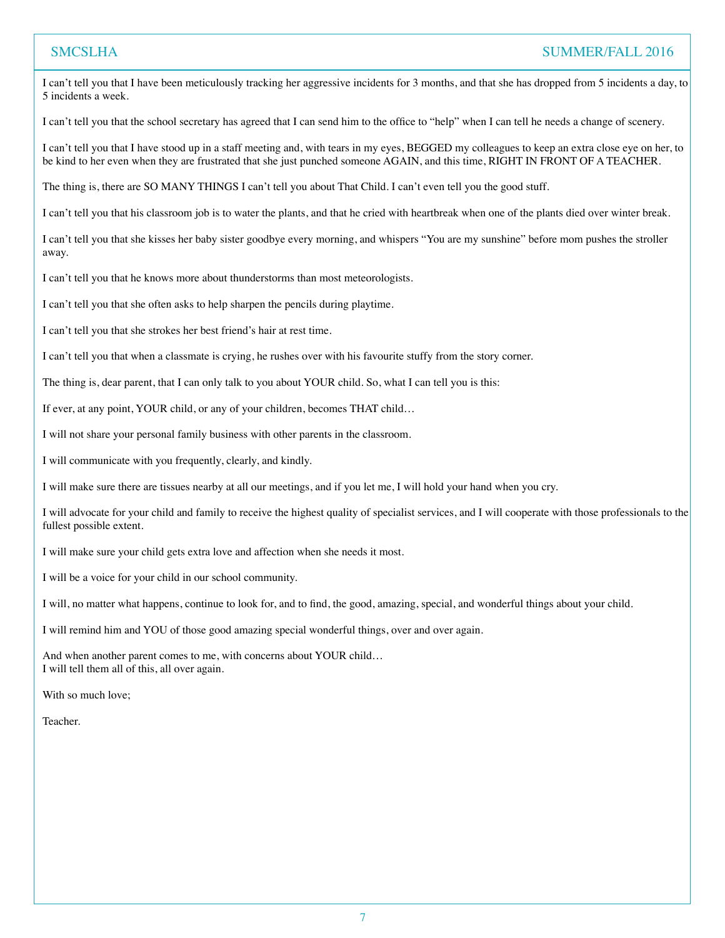## SMCSLHA SUMMER/FALL 2016

I can't tell you that I have been meticulously tracking her aggressive incidents for 3 months, and that she has dropped from 5 incidents a day, to 5 incidents a week.

I can't tell you that the school secretary has agreed that I can send him to the office to "help" when I can tell he needs a change of scenery.

I can't tell you that I have stood up in a staff meeting and, with tears in my eyes, BEGGED my colleagues to keep an extra close eye on her, to be kind to her even when they are frustrated that she just punched someone AGAIN, and this time, RIGHT IN FRONT OF A TEACHER.

The thing is, there are SO MANY THINGS I can't tell you about That Child. I can't even tell you the good stuff.

I can't tell you that his classroom job is to water the plants, and that he cried with heartbreak when one of the plants died over winter break.

I can't tell you that she kisses her baby sister goodbye every morning, and whispers "You are my sunshine" before mom pushes the stroller away.

I can't tell you that he knows more about thunderstorms than most meteorologists.

I can't tell you that she often asks to help sharpen the pencils during playtime.

I can't tell you that she strokes her best friend's hair at rest time.

I can't tell you that when a classmate is crying, he rushes over with his favourite stuffy from the story corner.

The thing is, dear parent, that I can only talk to you about YOUR child. So, what I can tell you is this:

If ever, at any point, YOUR child, or any of your children, becomes THAT child…

I will not share your personal family business with other parents in the classroom.

I will communicate with you frequently, clearly, and kindly.

I will make sure there are tissues nearby at all our meetings, and if you let me, I will hold your hand when you cry.

I will advocate for your child and family to receive the highest quality of specialist services, and I will cooperate with those professionals to the fullest possible extent.

I will make sure your child gets extra love and affection when she needs it most.

I will be a voice for your child in our school community.

I will, no matter what happens, continue to look for, and to find, the good, amazing, special, and wonderful things about your child.

I will remind him and YOU of those good amazing special wonderful things, over and over again.

And when another parent comes to me, with concerns about YOUR child… I will tell them all of this, all over again.

With so much love;

Teacher.